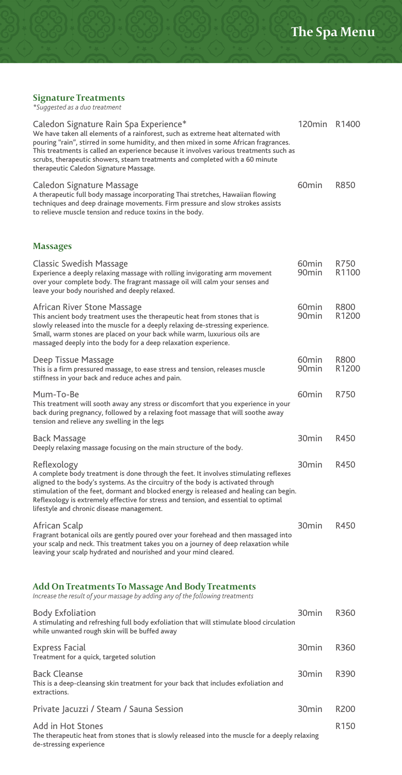# **Signature Treatments**  *\*Suggested as a duo treatment*

de-stressing experience

| Caledon Signature Rain Spa Experience*<br>We have taken all elements of a rainforest, such as extreme heat alternated with<br>pouring "rain", stirred in some humidity, and then mixed in some African fragrances.<br>This treatments is called an experience because it involves various treatments such as<br>scrubs, therapeutic showers, steam treatments and completed with a 60 minute<br>therapeutic Caledon Signature Massage. | 120min R1400                           |                           |
|----------------------------------------------------------------------------------------------------------------------------------------------------------------------------------------------------------------------------------------------------------------------------------------------------------------------------------------------------------------------------------------------------------------------------------------|----------------------------------------|---------------------------|
| Caledon Signature Massage<br>A therapeutic full body massage incorporating Thai stretches, Hawaiian flowing<br>techniques and deep drainage movements. Firm pressure and slow strokes assists<br>to relieve muscle tension and reduce toxins in the body.                                                                                                                                                                              | 60 <sub>min</sub>                      | R850                      |
| <b>Massages</b>                                                                                                                                                                                                                                                                                                                                                                                                                        |                                        |                           |
| Classic Swedish Massage<br>Experience a deeply relaxing massage with rolling invigorating arm movement<br>over your complete body. The fragrant massage oil will calm your senses and<br>leave your body nourished and deeply relaxed.                                                                                                                                                                                                 | 60 <sub>min</sub><br>90 <sub>min</sub> | R750<br>R <sub>1100</sub> |
| African River Stone Massage<br>This ancient body treatment uses the therapeutic heat from stones that is<br>slowly released into the muscle for a deeply relaxing de-stressing experience.<br>Small, warm stones are placed on your back while warm, luxurious oils are<br>massaged deeply into the body for a deep relaxation experience.                                                                                             | 60 <sub>min</sub><br>90 <sub>min</sub> | R800<br>R <sub>1200</sub> |
| Deep Tissue Massage<br>This is a firm pressured massage, to ease stress and tension, releases muscle<br>stiffness in your back and reduce aches and pain.                                                                                                                                                                                                                                                                              | 60 <sub>min</sub><br>90 <sub>min</sub> | R800<br>R <sub>1200</sub> |
| Mum-To-Be<br>This treatment will sooth away any stress or discomfort that you experience in your<br>back during pregnancy, followed by a relaxing foot massage that will soothe away<br>tension and relieve any swelling in the legs                                                                                                                                                                                                   | 60 <sub>min</sub>                      | R750                      |
| Back Massage<br>Deeply relaxing massage focusing on the main structure of the body.                                                                                                                                                                                                                                                                                                                                                    | 30 <sub>min</sub>                      | R450                      |
| Reflexology<br>A complete body treatment is done through the feet. It involves stimulating reflexes<br>aligned to the body's systems. As the circuitry of the body is activated through<br>stimulation of the feet, dormant and blocked energy is released and healing can begin.<br>Reflexology is extremely effective for stress and tension, and essential to optimal<br>lifestyle and chronic disease management.                  | 30min                                  | R450                      |
| African Scalp<br>Fragrant botanical oils are gently poured over your forehead and then massaged into<br>your scalp and neck. This treatment takes you on a journey of deep relaxation while<br>leaving your scalp hydrated and nourished and your mind cleared.                                                                                                                                                                        | 30 <sub>min</sub>                      | R450                      |
| Add On Treatments To Massage And Body Treatments<br>Increase the result of your massage by adding any of the following treatments                                                                                                                                                                                                                                                                                                      |                                        |                           |
| Body Exfoliation<br>A stimulating and refreshing full body exfoliation that will stimulate blood circulation<br>while unwanted rough skin will be buffed away                                                                                                                                                                                                                                                                          | 30 <sub>min</sub>                      | R360                      |
| Express Facial<br>Treatment for a quick, targeted solution                                                                                                                                                                                                                                                                                                                                                                             | 30 <sub>min</sub>                      | R360                      |
| <b>Back Cleanse</b><br>This is a deep-cleansing skin treatment for your back that includes exfoliation and<br>extractions.                                                                                                                                                                                                                                                                                                             | 30min                                  | R390                      |
| Private Jacuzzi / Steam / Sauna Session                                                                                                                                                                                                                                                                                                                                                                                                | 30 <sub>min</sub>                      | R <sub>200</sub>          |
| Add in Hot Stones<br>The therapeutic heat from stones that is slowly released into the muscle for a deeply relaxing                                                                                                                                                                                                                                                                                                                    |                                        | R <sub>150</sub>          |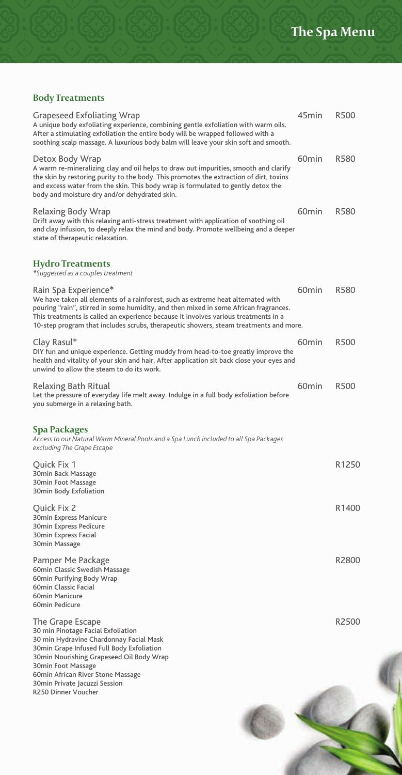٦

避

# **Body Treatments**

| Grapeseed Exfoliating Wrap<br>A unique body exfoliating experience, combining gentle exfoliation with warm oils.<br>After a stimulating exfoliation the entire body will be wrapped followed with a<br>soothing scalp massage. A luxurious body balm will leave your skin soft and smooth.                                                                                       | 45min             | R500              |
|----------------------------------------------------------------------------------------------------------------------------------------------------------------------------------------------------------------------------------------------------------------------------------------------------------------------------------------------------------------------------------|-------------------|-------------------|
| Detox Body Wrap<br>A warm re-mineralizing clay and oil helps to draw out impurities, smooth and clarify<br>the skin by restoring purity to the body. This promotes the extraction of dirt, toxins<br>and excess water from the skin. This body wrap is formulated to gently detox the<br>body and moisture dry and/or dehydrated skin.                                           | 60 <sub>min</sub> | R580              |
| Relaxing Body Wrap<br>Drift away with this relaxing anti-stress treatment with application of soothing oil<br>and clay infusion, to deeply relax the mind and body. Promote wellbeing and a deeper<br>state of therapeutic relaxation.                                                                                                                                           | 60 <sub>min</sub> | R580              |
| <b>Hydro Treatments</b><br>*Suggested as a couples treatment                                                                                                                                                                                                                                                                                                                     |                   |                   |
| Rain Spa Experience*<br>We have taken all elements of a rainforest, such as extreme heat alternated with<br>pouring "rain", stirred in some humidity, and then mixed in some African fragrances.<br>This treatments is called an experience because it involves various treatments in a<br>10-step program that includes scrubs, therapeutic showers, steam treatments and more. | 60 <sub>min</sub> | R580              |
| Clay Rasul*<br>DIY fun and unique experience. Getting muddy from head-to-toe greatly improve the<br>health and vitality of your skin and hair. After application sit back close your eyes and<br>unwind to allow the steam to do its work.                                                                                                                                       | 60 <sub>min</sub> | R500              |
| Relaxing Bath Ritual<br>Let the pressure of everyday life melt away. Indulge in a full body exfoliation before<br>you submerge in a relaxing bath.                                                                                                                                                                                                                               | 60 <sub>min</sub> | R500              |
| Spa Packages<br>Access to our Natural Warm Mineral Pools and a Spa Lunch included to all Spa Packages<br>excluding The Grape Escape                                                                                                                                                                                                                                              |                   |                   |
| Quick Fix 1<br>30min Back Massage<br>30min Foot Massage<br>30min Body Exfoliation                                                                                                                                                                                                                                                                                                |                   | R1250             |
| Quick Fix 2<br>30min Express Manicure<br>30min Express Pedicure<br>30min Express Facial<br>30min Massage                                                                                                                                                                                                                                                                         |                   | R <sub>1400</sub> |
| Pamper Me Package<br>60min Classic Swedish Massage<br>60min Purifying Body Wrap<br>60min Classic Facial<br>60min Manicure<br>60min Pedicure                                                                                                                                                                                                                                      |                   | R2800             |
| The Grape Escape<br>30 min Pinotage Facial Exfoliation<br>30 min Hydravine Chardonnay Facial Mask<br>30min Grape Infused Full Body Exfoliation<br>30min Nourishing Grapeseed Oil Body Wrap<br>30min Foot Massage<br>60min African River Stone Massage<br>30min Private Jacuzzi Session<br>R250 Dinner Voucher                                                                    |                   | R2500             |
|                                                                                                                                                                                                                                                                                                                                                                                  |                   |                   |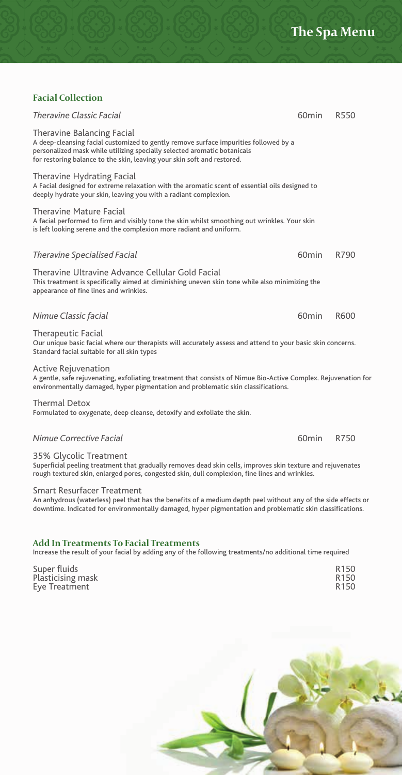# **Facial Collection**

| Theravine Classic Facial                                                                                                                                                                                                                                                  | 60 <sub>min</sub> | R550 |  |
|---------------------------------------------------------------------------------------------------------------------------------------------------------------------------------------------------------------------------------------------------------------------------|-------------------|------|--|
| Theravine Balancing Facial<br>A deep-cleansing facial customized to gently remove surface impurities followed by a<br>personalized mask while utilizing specially selected aromatic botanicals<br>for restoring balance to the skin, leaving your skin soft and restored. |                   |      |  |
| Theravine Hydrating Facial<br>A Facial designed for extreme relaxation with the aromatic scent of essential oils designed to<br>deeply hydrate your skin, leaving you with a radiant complexion.                                                                          |                   |      |  |
| <b>Theravine Mature Facial</b><br>A facial performed to firm and visibly tone the skin whilst smoothing out wrinkles. Your skin<br>is left looking serene and the complexion more radiant and uniform.                                                                    |                   |      |  |
| Theravine Specialised Facial                                                                                                                                                                                                                                              | 60 <sub>min</sub> | R790 |  |
| Theravine Ultravine Advance Cellular Gold Facial<br>This treatment is specifically aimed at diminishing uneven skin tone while also minimizing the<br>appearance of fine lines and wrinkles.                                                                              |                   |      |  |
| Nimue Classic facial                                                                                                                                                                                                                                                      | 60 <sub>min</sub> | R600 |  |
| <b>Therapeutic Facial</b><br>Our unique basic facial where our therapists will accurately assess and attend to your basic skin concerns.<br>Standard facial suitable for all skin types                                                                                   |                   |      |  |
| <b>Active Rejuvenation</b><br>A gentle, safe rejuvenating, exfoliating treatment that consists of Nimue Bio-Active Complex. Rejuvenation for<br>environmentally damaged, hyper pigmentation and problematic skin classifications.                                         |                   |      |  |
| <b>Thermal Detox</b><br>Formulated to oxygenate, deep cleanse, detoxify and exfoliate the skin.                                                                                                                                                                           |                   |      |  |
| Nimue Corrective Facial                                                                                                                                                                                                                                                   | 60 <sub>min</sub> | R750 |  |

35% Glycolic Treatment

Superficial peeling treatment that gradually removes dead skin cells, improves skin texture and rejuvenates rough textured skin, enlarged pores, congested skin, dull complexion, fine lines and wrinkles.

#### Smart Resurfacer Treatment

An anhydrous (waterless) peel that has the benefits of a medium depth peel without any of the side effects or downtime. Indicated for environmentally damaged, hyper pigmentation and problematic skin classifications.

#### **Add In Treatments To Facial Treatments**

Increase the result of your facial by adding any of the following treatments/no additional time required

Super fluids **R150**<br>Plasticising mask **R150** Plasticising mask and the control of the control of the control of the control of the control of the control of<br>Eve Treatment and the control of the control of the control of the control of the control of the control of th Eye Treatment

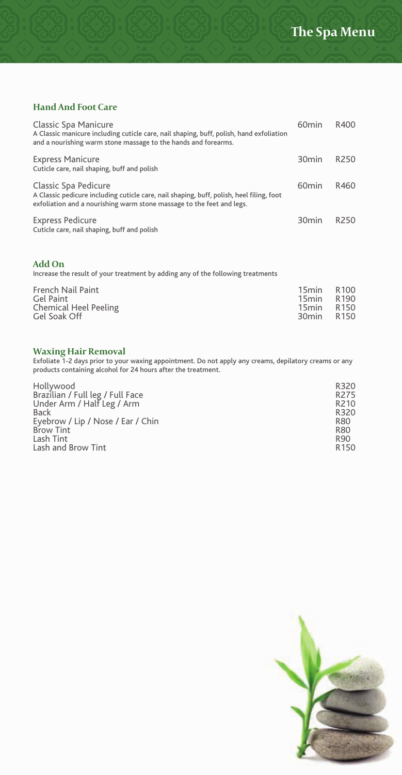# **Hand And Foot Care**

| <b>Classic Spa Manicure</b><br>A Classic manicure including cuticle care, nail shaping, buff, polish, hand exfoliation<br>and a nourishing warm stone massage to the hands and forearms.  | 60 <sub>min</sub> | R400             |
|-------------------------------------------------------------------------------------------------------------------------------------------------------------------------------------------|-------------------|------------------|
| <b>Express Manicure</b><br>Cuticle care, nail shaping, buff and polish                                                                                                                    | 30 <sub>min</sub> | R <sub>250</sub> |
| Classic Spa Pedicure<br>A Classic pedicure including cuticle care, nail shaping, buff, polish, heel filing, foot<br>exfoliation and a nourishing warm stone massage to the feet and legs. | 60 <sub>min</sub> | R460             |
| <b>Express Pedicure</b><br>Cuticle care, nail shaping, buff and polish                                                                                                                    | 30 <sub>min</sub> | R <sub>250</sub> |

#### **Add On**

Increase the result of your treatment by adding any of the following treatments

| French Nail Paint<br>15min R100<br>Gel Paint<br><b>Chemical Heel Peeling</b><br>Gel Soak Off | 15min R190<br>15min R150<br>30min R150 |
|----------------------------------------------------------------------------------------------|----------------------------------------|
|                                                                                              |                                        |

**Waxing Hair Removal** Exfoliate 1-2 days prior to your waxing appointment. Do not apply any creams, depilatory creams or any products containing alcohol for 24 hours after the treatment.

| Hollywood                         | R320             |
|-----------------------------------|------------------|
| Brazilian / Full leg / Full Face  | R <sub>275</sub> |
| Under Arm / Half Leg / Arm        | R <sub>210</sub> |
| <b>Back</b>                       | R320             |
| Eyebrow / Lip / Nose / Ear / Chin | R80              |
| <b>Brow Tint</b>                  | R80              |
| Lash Tint                         | R90              |
| Lash and Brow Tint                | R <sub>150</sub> |